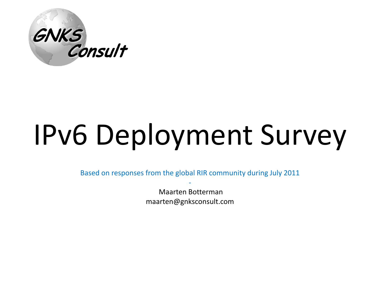

# IPv6 Deployment Survey

Based on responses from the global RIR community during July 2011 -

> Maarten Botterman maarten@gnksconsult.com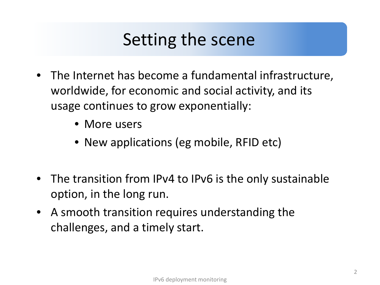#### Setting the scene

- The Internet has become a fundamental infrastructure, worldwide, for economic and social activity, and its usage continues to grow exponentially:
	- More users
	- New applications (eg mobile, RFID etc)
- The transition from IPv4 to IPv6 is the only sustainable option, in the long run.
- A smooth transition requires understanding the challenges, and a timely start.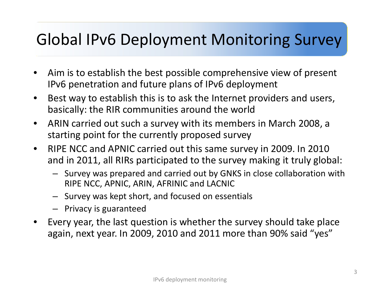#### **The Global IPv6 Deployment Monitoring Survey** Global IPv6 Deployment Monitoring Survey

- Aim is to establish the best possible comprehensive view of present IPv6 penetration and future plans of IPv6 deployment
- Best way to establish this is to ask the Internet providers and users, basically: the RIR communities around the world
- ARIN carried out such a survey with its members in March 2008, a starting point for the currently proposed survey
- RIPE NCC and APNIC carried out this same survey in 2009. In 2010 and in 2011, all RIRs participated to the survey making it truly global:
	- Survey was prepared and carried out by GNKS in close collaboration with RIPE NCC, APNIC, ARIN, AFRINIC and LACNIC
	- Survey was kept short, and focused on essentials
	- Privacy is guaranteed
- Every year, the last question is whether the survey should take place again, next year. In 2009, 2010 and 2011 more than 90% said "yes"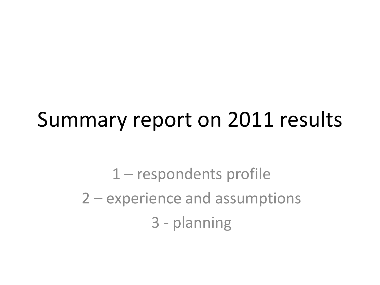## Summary report on 2011 results

1 – respondents profile 2 – experience and assumptions 3 - planning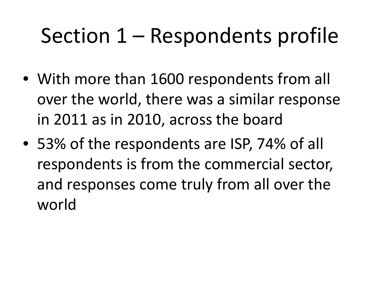# Section 1 – Respondents profile

- With more than 1600 respondents from all over the world, there was a similar response in 2011 as in 2010, across the board
- 53% of the respondents are ISP, 74% of all respondents is from the commercial sector, and responses come truly from all over the world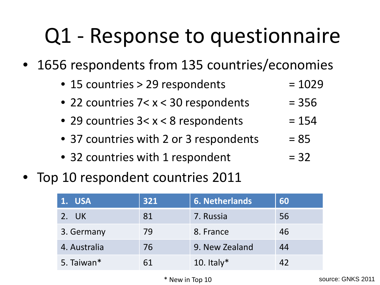# Q1 - Response to questionnaire

1656 respondents from 135 countries/economies

| • 15 countries > 29 respondents        | $= 1029$ |
|----------------------------------------|----------|
| • 22 countries 7< x < 30 respondents   | $= 356$  |
| • 29 countries $3 < x < 8$ respondents | $= 154$  |
| • 37 countries with 2 or 3 respondents | $= 85$   |
|                                        |          |

- 32 countries with 1 respondent  $= 32$
- Top 10 respondent countries 2011

| 1. USA       | 321 | <b>6. Netherlands</b> | 60 |
|--------------|-----|-----------------------|----|
| 2. UK        | 81  | 7. Russia             | 56 |
| 3. Germany   | 79  | 8. France             | 46 |
| 4. Australia | 76  | 9. New Zealand        | 44 |
| 5. Taiwan*   | 61  | 10. Italy $*$         | 42 |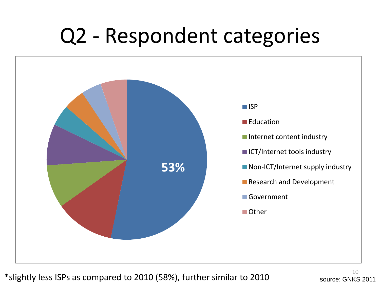### Q2 - Respondent categories



\*slightly less ISPs as compared to 2010 (58%), further similar to 2010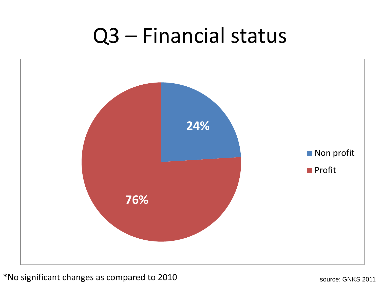### Q3 – Financial status



\*No significant changes as compared to 2010 source: GNKS 2011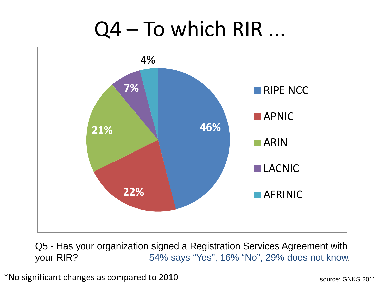## Q4 – To which RIR ...



Q5 - Has your organization signed a Registration Services Agreement with your RIR? 54% says "Yes", 16% "No", 29% does not know.

\*No significant changes as compared to 2010 source: GNKS 2011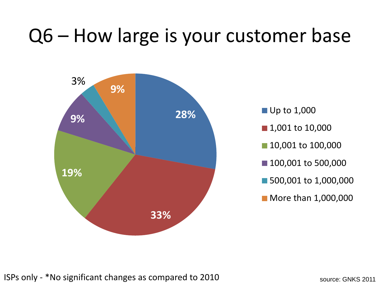### Q6 – How large is your customer base

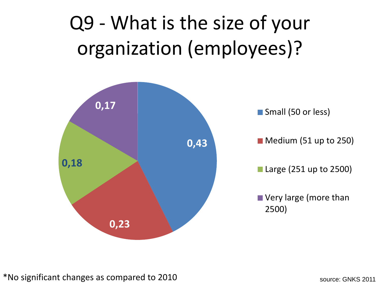### Q9 - What is the size of your organization (employees)?

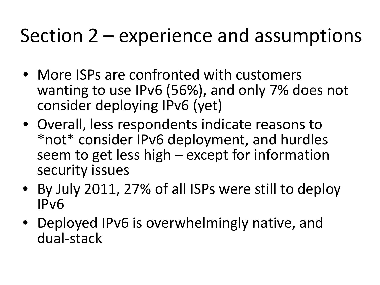### Section 2 – experience and assumptions

- More ISPs are confronted with customers wanting to use IPv6 (56%), and only 7% does not consider deploying IPv6 (yet)
- Overall, less respondents indicate reasons to \*not\* consider IPv6 deployment, and hurdles seem to get less high – except for information security issues
- By July 2011, 27% of all ISPs were still to deploy IPv6
- Deployed IPv6 is overwhelmingly native, and dual-stack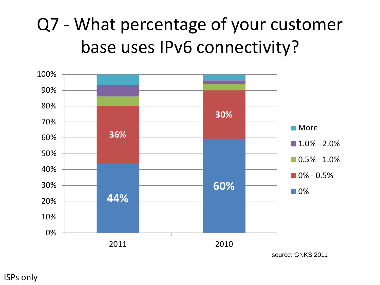### Q7 - What percentage of your customer base uses IPv6 connectivity?

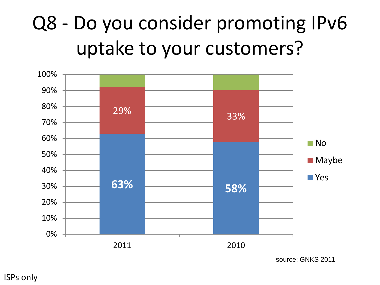### Q8 - Do you consider promoting IPv6 uptake to your customers?



source: GNKS 2011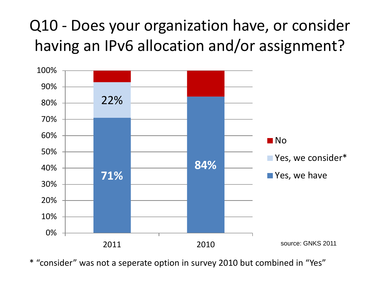#### Q10 - Does your organization have, or consider having an IPv6 allocation and/or assignment?



\* "consider" was not a seperate option in survey 2010 but combined in "Yes"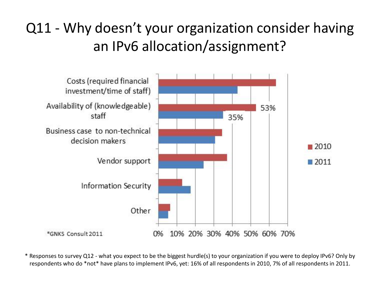#### Q11 - Why doesn't your organization consider having an IPv6 allocation/assignment?



\* Responses to survey Q12 - what you expect to be the biggest hurdle(s) to your organization if you were to deploy IPv6? Only by respondents who do \*not\* have plans to implement IPv6, yet: 16% of all respondents in 2010, 7% of all respondents in 2011.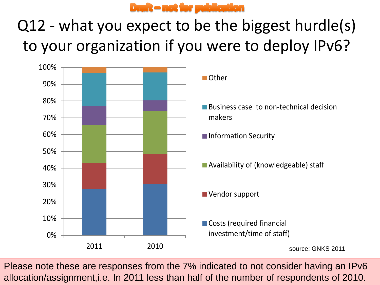

#### Q12 - what you expect to be the biggest hurdle(s) to your organization if you were to deploy IPv6?



Please note these are responses from the 7% indicated to not consider having an IPv6 allocation/assignment,i.e. In 2011 less than half of the number of respondents of 2010.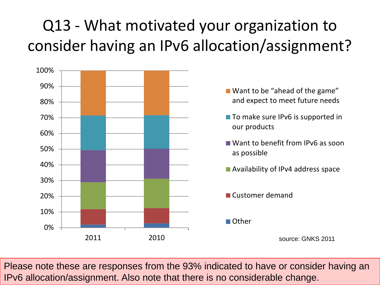#### Q13 - What motivated your organization to consider having an IPv6 allocation/assignment?



Please note these are responses from the 93% indicated to have or consider having an IPv6 allocation/assignment. Also note that there is no considerable change.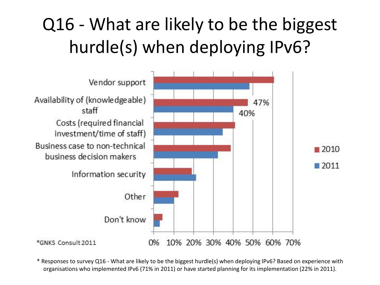### Q16 - What are likely to be the biggest hurdle(s) when deploying IPv6?



\* Responses to survey Q16 - What are likely to be the biggest hurdle(s) when deploying IPv6? Based on experience with organisations who implemented IPv6 (71% in 2011) or have started planning for its implementation (22% in 2011).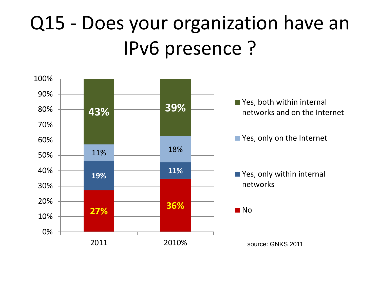### Q15 - Does your organization have an IPv6 presence ?

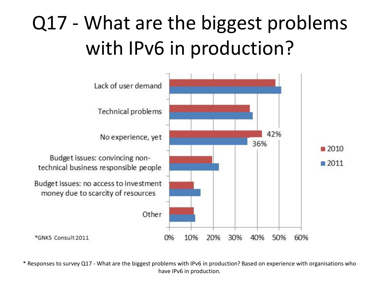### Q17 - What are the biggest problems with IPv6 in production?



\* Responses to survey Q17 - What are the biggest problems with IPv6 in production? Based on experience with organisations who have IPv6 in production.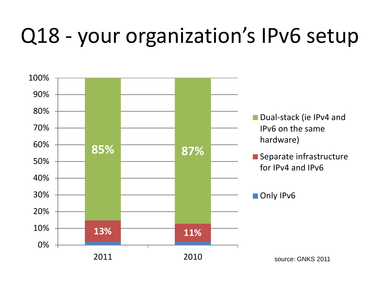# Q18 - your organization's IPv6 setup

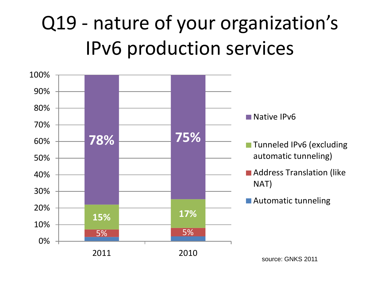### Q19 - nature of your organization's IPv6 production services

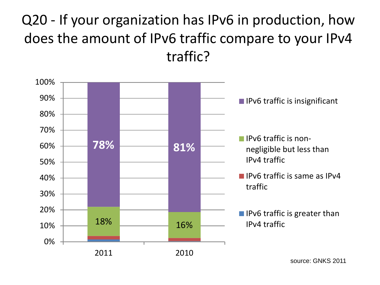#### Q20 - If your organization has IPv6 in production, how does the amount of IPv6 traffic compare to your IPv4 traffic?



source: GNKS 2011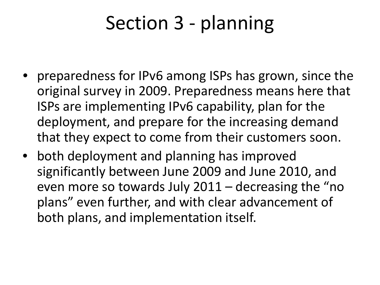### Section 3 - planning

- preparedness for IPv6 among ISPs has grown, since the original survey in 2009. Preparedness means here that ISPs are implementing IPv6 capability, plan for the deployment, and prepare for the increasing demand that they expect to come from their customers soon.
- both deployment and planning has improved significantly between June 2009 and June 2010, and even more so towards July 2011 – decreasing the "no plans" even further, and with clear advancement of both plans, and implementation itself.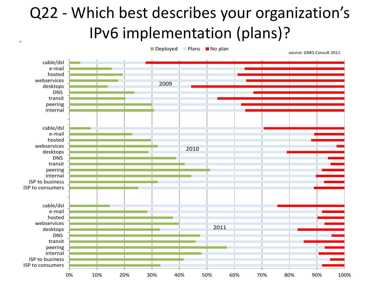#### Q22 - Which best describes your organization's IPv6 implementation (plans)?

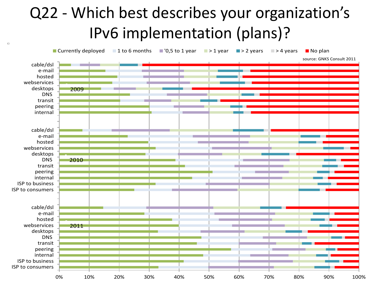#### Q22 - Which best describes your organization's IPv6 implementation (plans)?